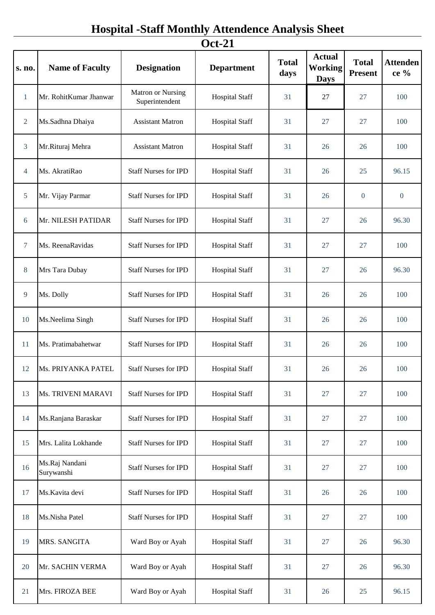## **Hospital -Staff Monthly Attendence Analysis Sheet**

| <b>Oct-21</b>  |                              |                                            |                       |                      |                                                |                                |                         |
|----------------|------------------------------|--------------------------------------------|-----------------------|----------------------|------------------------------------------------|--------------------------------|-------------------------|
| s. no.         | <b>Name of Faculty</b>       | <b>Designation</b>                         | <b>Department</b>     | <b>Total</b><br>days | <b>Actual</b><br><b>Working</b><br><b>Days</b> | <b>Total</b><br><b>Present</b> | <b>Attenden</b><br>ce % |
| $\mathbf{1}$   | Mr. RohitKumar Jhanwar       | <b>Matron or Nursing</b><br>Superintendent | <b>Hospital Staff</b> | 31                   | 27                                             | 27                             | 100                     |
| $\overline{2}$ | Ms.Sadhna Dhaiya             | <b>Assistant Matron</b>                    | <b>Hospital Staff</b> | 31                   | 27                                             | 27                             | 100                     |
| $\overline{3}$ | Mr.Rituraj Mehra             | <b>Assistant Matron</b>                    | <b>Hospital Staff</b> | 31                   | 26                                             | 26                             | 100                     |
| $\overline{4}$ | Ms. AkratiRao                | <b>Staff Nurses for IPD</b>                | <b>Hospital Staff</b> | 31                   | 26                                             | 25                             | 96.15                   |
| 5              | Mr. Vijay Parmar             | <b>Staff Nurses for IPD</b>                | <b>Hospital Staff</b> | 31                   | 26                                             | $\overline{0}$                 | $\boldsymbol{0}$        |
| 6              | Mr. NILESH PATIDAR           | <b>Staff Nurses for IPD</b>                | <b>Hospital Staff</b> | 31                   | 27                                             | 26                             | 96.30                   |
| $\overline{7}$ | Ms. ReenaRavidas             | <b>Staff Nurses for IPD</b>                | <b>Hospital Staff</b> | 31                   | 27                                             | 27                             | 100                     |
| 8              | Mrs Tara Dubay               | <b>Staff Nurses for IPD</b>                | <b>Hospital Staff</b> | 31                   | 27                                             | 26                             | 96.30                   |
| 9              | Ms. Dolly                    | <b>Staff Nurses for IPD</b>                | <b>Hospital Staff</b> | 31                   | 26                                             | 26                             | 100                     |
| 10             | Ms.Neelima Singh             | <b>Staff Nurses for IPD</b>                | <b>Hospital Staff</b> | 31                   | 26                                             | 26                             | 100                     |
| 11             | Ms. Pratimabahetwar          | <b>Staff Nurses for IPD</b>                | <b>Hospital Staff</b> | 31                   | 26                                             | 26                             | 100                     |
| 12             | Ms. PRIYANKA PATEL           | <b>Staff Nurses for IPD</b>                | <b>Hospital Staff</b> | 31                   | 26                                             | 26                             | 100                     |
| 13             | Ms. TRIVENI MARAVI           | <b>Staff Nurses for IPD</b>                | <b>Hospital Staff</b> | 31                   | 27                                             | 27                             | 100                     |
| 14             | Ms.Ranjana Baraskar          | <b>Staff Nurses for IPD</b>                | <b>Hospital Staff</b> | 31                   | 27                                             | 27                             | 100                     |
| 15             | Mrs. Lalita Lokhande         | <b>Staff Nurses for IPD</b>                | <b>Hospital Staff</b> | 31                   | 27                                             | 27                             | 100                     |
| 16             | Ms.Raj Nandani<br>Surywanshi | <b>Staff Nurses for IPD</b>                | <b>Hospital Staff</b> | 31                   | 27                                             | 27                             | 100                     |
| 17             | Ms.Kavita devi               | <b>Staff Nurses for IPD</b>                | <b>Hospital Staff</b> | 31                   | 26                                             | 26                             | 100                     |
| 18             | Ms.Nisha Patel               | <b>Staff Nurses for IPD</b>                | <b>Hospital Staff</b> | 31                   | 27                                             | 27                             | 100                     |
| 19             | MRS. SANGITA                 | Ward Boy or Ayah                           | <b>Hospital Staff</b> | 31                   | 27                                             | 26                             | 96.30                   |
| 20             | Mr. SACHIN VERMA             | Ward Boy or Ayah                           | <b>Hospital Staff</b> | 31                   | 27                                             | 26                             | 96.30                   |
| 21             | Mrs. FIROZA BEE              | Ward Boy or Ayah                           | <b>Hospital Staff</b> | 31                   | 26                                             | 25                             | 96.15                   |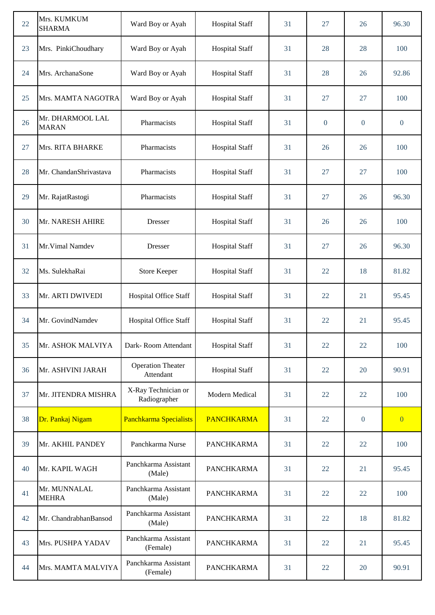| 22 | Mrs. KUMKUM<br><b>SHARMA</b>     | Ward Boy or Ayah                      | <b>Hospital Staff</b> | 31 | 27             | 26             | 96.30          |
|----|----------------------------------|---------------------------------------|-----------------------|----|----------------|----------------|----------------|
| 23 | Mrs. PinkiChoudhary              | Ward Boy or Ayah                      | <b>Hospital Staff</b> | 31 | 28             | 28             | 100            |
| 24 | Mrs. ArchanaSone                 | Ward Boy or Ayah                      | <b>Hospital Staff</b> | 31 | 28             | 26             | 92.86          |
| 25 | Mrs. MAMTA NAGOTRA               | Ward Boy or Ayah                      | <b>Hospital Staff</b> | 31 | 27             | 27             | 100            |
| 26 | Mr. DHARMOOL LAL<br><b>MARAN</b> | Pharmacists                           | <b>Hospital Staff</b> | 31 | $\overline{0}$ | $\overline{0}$ | $\mathbf{0}$   |
| 27 | Mrs. RITA BHARKE                 | Pharmacists                           | <b>Hospital Staff</b> | 31 | 26             | 26             | 100            |
| 28 | Mr. ChandanShrivastava           | Pharmacists                           | <b>Hospital Staff</b> | 31 | 27             | 27             | 100            |
| 29 | Mr. RajatRastogi                 | Pharmacists                           | <b>Hospital Staff</b> | 31 | 27             | 26             | 96.30          |
| 30 | Mr. NARESH AHIRE                 | Dresser                               | <b>Hospital Staff</b> | 31 | 26             | 26             | 100            |
| 31 | Mr. Vimal Namdev                 | Dresser                               | <b>Hospital Staff</b> | 31 | 27             | 26             | 96.30          |
| 32 | Ms. SulekhaRai                   | <b>Store Keeper</b>                   | <b>Hospital Staff</b> | 31 | 22             | 18             | 81.82          |
| 33 | Mr. ARTI DWIVEDI                 | Hospital Office Staff                 | <b>Hospital Staff</b> | 31 | 22             | 21             | 95.45          |
| 34 | Mr. GovindNamdev                 | Hospital Office Staff                 | <b>Hospital Staff</b> | 31 | 22             | 21             | 95.45          |
| 35 | Mr. ASHOK MALVIYA                | Dark-Room Attendant                   | <b>Hospital Staff</b> | 31 | 22             | 22             | 100            |
| 36 | Mr. ASHVINI JARAH                | <b>Operation Theater</b><br>Attendant | <b>Hospital Staff</b> | 31 | 22             | 20             | 90.91          |
| 37 | Mr. JITENDRA MISHRA              | X-Ray Technician or<br>Radiographer   | Modern Medical        | 31 | 22             | 22             | 100            |
| 38 | Dr. Pankaj Nigam                 | Panchkarma Specialists                | <b>PANCHKARMA</b>     | 31 | 22             | $\overline{0}$ | $\overline{0}$ |
| 39 | Mr. AKHIL PANDEY                 | Panchkarma Nurse                      | <b>PANCHKARMA</b>     | 31 | 22             | 22             | 100            |
| 40 | Mr. KAPIL WAGH                   | Panchkarma Assistant<br>(Male)        | <b>PANCHKARMA</b>     | 31 | 22             | 21             | 95.45          |
| 41 | Mr. MUNNALAL<br><b>MEHRA</b>     | Panchkarma Assistant<br>(Male)        | <b>PANCHKARMA</b>     | 31 | 22             | 22             | 100            |
| 42 | Mr. ChandrabhanBansod            | Panchkarma Assistant<br>(Male)        | <b>PANCHKARMA</b>     | 31 | 22             | 18             | 81.82          |
| 43 | Mrs. PUSHPA YADAV                | Panchkarma Assistant<br>(Female)      | <b>PANCHKARMA</b>     | 31 | 22             | 21             | 95.45          |
| 44 | Mrs. MAMTA MALVIYA               | Panchkarma Assistant<br>(Female)      | <b>PANCHKARMA</b>     | 31 | 22             | 20             | 90.91          |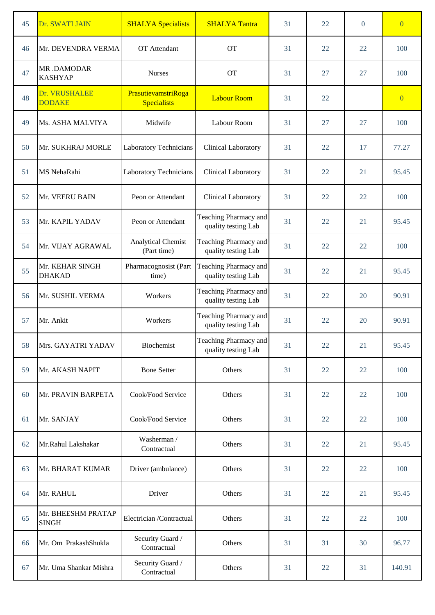| 45 | Dr. SWATI JAIN                     | <b>SHALYA</b> Specialists                 | <b>SHALYA Tantra</b>                         | 31 | 22 | $\Omega$ | $\overline{0}$ |
|----|------------------------------------|-------------------------------------------|----------------------------------------------|----|----|----------|----------------|
| 46 | Mr. DEVENDRA VERMA                 | OT Attendant                              | <b>OT</b>                                    | 31 | 22 | 22       | 100            |
| 47 | MR.DAMODAR<br><b>KASHYAP</b>       | <b>Nurses</b>                             | <b>OT</b>                                    | 31 | 27 | 27       | 100            |
| 48 | Dr. VRUSHALEE<br><b>DODAKE</b>     | PrasutievamstriRoga<br><b>Specialists</b> | <b>Labour Room</b>                           | 31 | 22 |          | $\overline{0}$ |
| 49 | Ms. ASHA MALVIYA                   | Midwife                                   | Labour Room                                  | 31 | 27 | 27       | 100            |
| 50 | Mr. SUKHRAJ MORLE                  | Laboratory Technicians                    | Clinical Laboratory                          | 31 | 22 | 17       | 77.27          |
| 51 | MS NehaRahi                        | Laboratory Technicians                    | Clinical Laboratory                          | 31 | 22 | 21       | 95.45          |
| 52 | Mr. VEERU BAIN                     | Peon or Attendant                         | Clinical Laboratory                          | 31 | 22 | 22       | 100            |
| 53 | Mr. KAPIL YADAV                    | Peon or Attendant                         | Teaching Pharmacy and<br>quality testing Lab | 31 | 22 | 21       | 95.45          |
| 54 | Mr. VIJAY AGRAWAL                  | <b>Analytical Chemist</b><br>(Part time)  | Teaching Pharmacy and<br>quality testing Lab | 31 | 22 | 22       | 100            |
| 55 | Mr. KEHAR SINGH<br><b>DHAKAD</b>   | Pharmacognosist (Part<br>time)            | Teaching Pharmacy and<br>quality testing Lab | 31 | 22 | 21       | 95.45          |
| 56 | Mr. SUSHIL VERMA                   | Workers                                   | Teaching Pharmacy and<br>quality testing Lab | 31 | 22 | 20       | 90.91          |
| 57 | Mr. Ankit                          | Workers                                   | Teaching Pharmacy and<br>quality testing Lab | 31 | 22 | 20       | 90.91          |
| 58 | Mrs. GAYATRI YADAV                 | Biochemist                                | Teaching Pharmacy and<br>quality testing Lab | 31 | 22 | 21       | 95.45          |
| 59 | Mr. AKASH NAPIT                    | <b>Bone Setter</b>                        | Others                                       | 31 | 22 | 22       | 100            |
| 60 | Mr. PRAVIN BARPETA                 | Cook/Food Service                         | Others                                       | 31 | 22 | 22       | 100            |
| 61 | Mr. SANJAY                         | Cook/Food Service                         | Others                                       | 31 | 22 | 22       | 100            |
| 62 | Mr.Rahul Lakshakar                 | Washerman /<br>Contractual                | Others                                       | 31 | 22 | 21       | 95.45          |
| 63 | Mr. BHARAT KUMAR                   | Driver (ambulance)                        | Others                                       | 31 | 22 | 22       | 100            |
| 64 | Mr. RAHUL                          | Driver                                    | Others                                       | 31 | 22 | 21       | 95.45          |
| 65 | Mr. BHEESHM PRATAP<br><b>SINGH</b> | Electrician /Contractual                  | Others                                       | 31 | 22 | 22       | 100            |
| 66 | Mr. Om PrakashShukla               | Security Guard /<br>Contractual           | Others                                       | 31 | 31 | 30       | 96.77          |
| 67 | Mr. Uma Shankar Mishra             | Security Guard /<br>Contractual           | Others                                       | 31 | 22 | 31       | 140.91         |